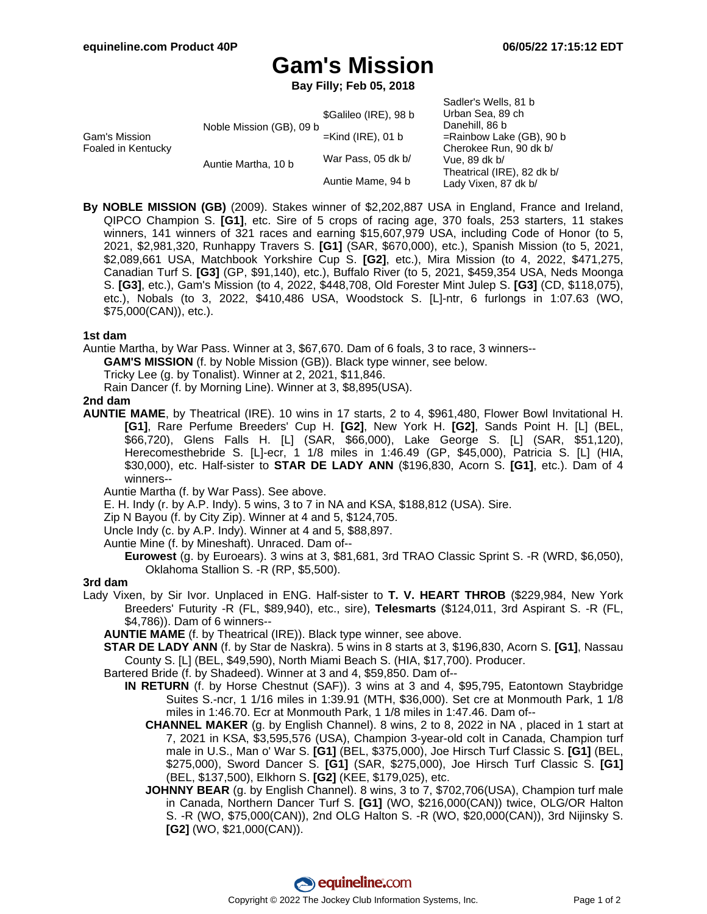Sadler's Wells, 81 b

# **Gam's Mission**

**Bay Filly; Feb 05, 2018**

| Gam's Mission<br>Foaled in Kentucky | Noble Mission (GB), 09 b | \$Galileo (IRE), 98 b | <b>OQUICI S VYCIIS. OT D</b><br>Urban Sea, 89 ch<br>Danehill, 86 b<br>$=$ Rainbow Lake (GB), 90 b<br>Cherokee Run, 90 dk b/<br>Vue, 89 dk b/<br>Theatrical (IRE), 82 dk b/<br>Lady Vixen, 87 dk b/ |
|-------------------------------------|--------------------------|-----------------------|----------------------------------------------------------------------------------------------------------------------------------------------------------------------------------------------------|
|                                     |                          | $=$ Kind (IRE), 01 b  |                                                                                                                                                                                                    |
|                                     | Auntie Martha, 10 b      | War Pass, 05 dk b/    |                                                                                                                                                                                                    |
|                                     |                          | Auntie Mame, 94 b     |                                                                                                                                                                                                    |

**By NOBLE MISSION (GB)** (2009). Stakes winner of \$2,202,887 USA in England, France and Ireland, QIPCO Champion S. **[G1]**, etc. Sire of 5 crops of racing age, 370 foals, 253 starters, 11 stakes winners, 141 winners of 321 races and earning \$15,607,979 USA, including Code of Honor (to 5, 2021, \$2,981,320, Runhappy Travers S. **[G1]** (SAR, \$670,000), etc.), Spanish Mission (to 5, 2021, \$2,089,661 USA, Matchbook Yorkshire Cup S. **[G2]**, etc.), Mira Mission (to 4, 2022, \$471,275, Canadian Turf S. **[G3]** (GP, \$91,140), etc.), Buffalo River (to 5, 2021, \$459,354 USA, Neds Moonga S. **[G3]**, etc.), Gam's Mission (to 4, 2022, \$448,708, Old Forester Mint Julep S. **[G3]** (CD, \$118,075), etc.), Nobals (to 3, 2022, \$410,486 USA, Woodstock S. [L]-ntr, 6 furlongs in 1:07.63 (WO, \$75,000(CAN)), etc.).

#### **1st dam**

Auntie Martha, by War Pass. Winner at 3, \$67,670. Dam of 6 foals, 3 to race, 3 winners--

**GAM'S MISSION** (f. by Noble Mission (GB)). Black type winner, see below.

Tricky Lee (g. by Tonalist). Winner at 2, 2021, \$11,846.

Rain Dancer (f. by Morning Line). Winner at 3, \$8,895(USA).

#### **2nd dam**

**AUNTIE MAME**, by Theatrical (IRE). 10 wins in 17 starts, 2 to 4, \$961,480, Flower Bowl Invitational H. **[G1]**, Rare Perfume Breeders' Cup H. **[G2]**, New York H. **[G2]**, Sands Point H. [L] (BEL, \$66,720), Glens Falls H. [L] (SAR, \$66,000), Lake George S. [L] (SAR, \$51,120), Herecomesthebride S. [L]-ecr, 1 1/8 miles in 1:46.49 (GP, \$45,000), Patricia S. [L] (HIA, \$30,000), etc. Half-sister to **STAR DE LADY ANN** (\$196,830, Acorn S. **[G1]**, etc.). Dam of 4 winners--

Auntie Martha (f. by War Pass). See above.

E. H. Indy (r. by A.P. Indy). 5 wins, 3 to 7 in NA and KSA, \$188,812 (USA). Sire.

Zip N Bayou (f. by City Zip). Winner at 4 and 5, \$124,705.

Uncle Indy (c. by A.P. Indy). Winner at 4 and 5, \$88,897.

Auntie Mine (f. by Mineshaft). Unraced. Dam of--

**Eurowest** (g. by Euroears). 3 wins at 3, \$81,681, 3rd TRAO Classic Sprint S. -R (WRD, \$6,050), Oklahoma Stallion S. -R (RP, \$5,500).

### **3rd dam**

Lady Vixen, by Sir Ivor. Unplaced in ENG. Half-sister to **T. V. HEART THROB** (\$229,984, New York Breeders' Futurity -R (FL, \$89,940), etc., sire), **Telesmarts** (\$124,011, 3rd Aspirant S. -R (FL, \$4,786)). Dam of 6 winners--

**AUNTIE MAME** (f. by Theatrical (IRE)). Black type winner, see above.

- **STAR DE LADY ANN** (f. by Star de Naskra). 5 wins in 8 starts at 3, \$196,830, Acorn S. **[G1]**, Nassau County S. [L] (BEL, \$49,590), North Miami Beach S. (HIA, \$17,700). Producer.
- Bartered Bride (f. by Shadeed). Winner at 3 and 4, \$59,850. Dam of--
	- **IN RETURN** (f. by Horse Chestnut (SAF)). 3 wins at 3 and 4, \$95,795, Eatontown Staybridge Suites S.-ncr, 1 1/16 miles in 1:39.91 (MTH, \$36,000). Set cre at Monmouth Park, 1 1/8 miles in 1:46.70. Ecr at Monmouth Park, 1 1/8 miles in 1:47.46. Dam of--
		- **CHANNEL MAKER** (g. by English Channel). 8 wins, 2 to 8, 2022 in NA , placed in 1 start at 7, 2021 in KSA, \$3,595,576 (USA), Champion 3-year-old colt in Canada, Champion turf male in U.S., Man o' War S. **[G1]** (BEL, \$375,000), Joe Hirsch Turf Classic S. **[G1]** (BEL, \$275,000), Sword Dancer S. **[G1]** (SAR, \$275,000), Joe Hirsch Turf Classic S. **[G1]** (BEL, \$137,500), Elkhorn S. **[G2]** (KEE, \$179,025), etc.
		- **JOHNNY BEAR** (g. by English Channel). 8 wins, 3 to 7, \$702,706(USA), Champion turf male in Canada, Northern Dancer Turf S. **[G1]** (WO, \$216,000(CAN)) twice, OLG/OR Halton S. -R (WO, \$75,000(CAN)), 2nd OLG Halton S. -R (WO, \$20,000(CAN)), 3rd Nijinsky S. **[G2]** (WO, \$21,000(CAN)).